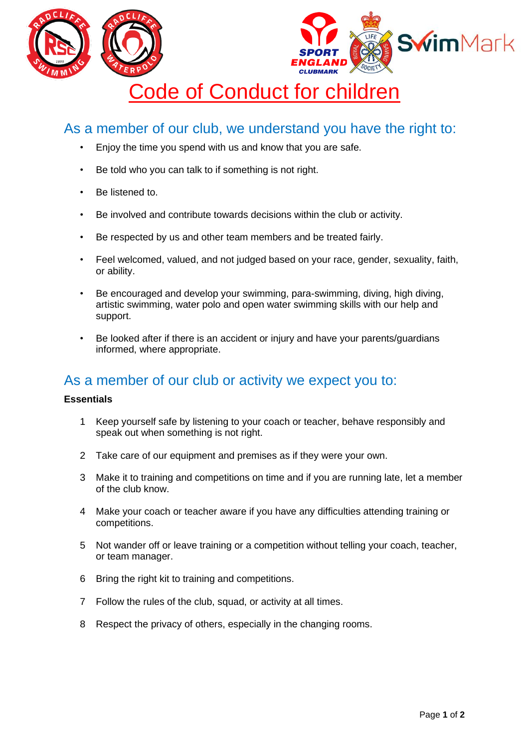

## As a member of our club, we understand you have the right to:

- Enjoy the time you spend with us and know that you are safe.
- Be told who you can talk to if something is not right.
- Be listened to.
- Be involved and contribute towards decisions within the club or activity.
- Be respected by us and other team members and be treated fairly.
- Feel welcomed, valued, and not judged based on your race, gender, sexuality, faith, or ability.
- Be encouraged and develop your swimming, para-swimming, diving, high diving, artistic swimming, water polo and open water swimming skills with our help and support.
- Be looked after if there is an accident or injury and have your parents/guardians informed, where appropriate.

## As a member of our club or activity we expect you to:

## **Essentials**

- 1 Keep yourself safe by listening to your coach or teacher, behave responsibly and speak out when something is not right.
- 2 Take care of our equipment and premises as if they were your own.
- 3 Make it to training and competitions on time and if you are running late, let a member of the club know.
- 4 Make your coach or teacher aware if you have any difficulties attending training or competitions.
- 5 Not wander off or leave training or a competition without telling your coach, teacher, or team manager.
- 6 Bring the right kit to training and competitions.
- 7 Follow the rules of the club, squad, or activity at all times.
- 8 Respect the privacy of others, especially in the changing rooms.